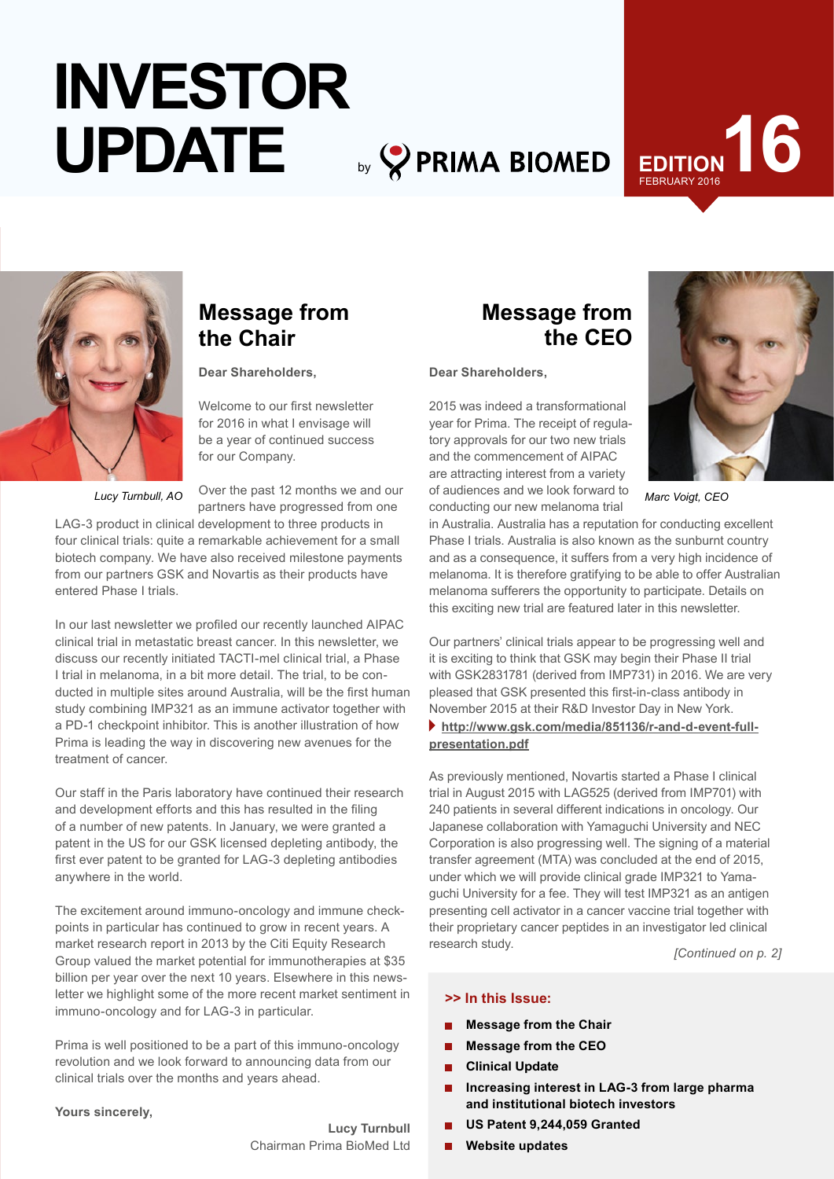# by **PRIMA BIOMED INVESTOR UPDATE**

# FEBRUARY 2016 **1917**



# **Message from the Chair**

**Dear Shareholders,**

Welcome to our first newsletter for 2016 in what I envisage will be a year of continued success for our Company.

*Lucy Turnbull, AO*

Over the past 12 months we and our partners have progressed from one

LAG-3 product in clinical development to three products in four clinical trials: quite a remarkable achievement for a small biotech company. We have also received milestone payments from our partners GSK and Novartis as their products have entered Phase I trials.

In our last newsletter we profiled our recently launched AIPAC clinical trial in metastatic breast cancer. In this newsletter, we discuss our recently initiated TACTI-mel clinical trial, a Phase I trial in melanoma, in a bit more detail. The trial, to be conducted in multiple sites around Australia, will be the first human study combining IMP321 as an immune activator together with a PD-1 checkpoint inhibitor. This is another illustration of how Prima is leading the way in discovering new avenues for the treatment of cancer.

Our staff in the Paris laboratory have continued their research and development efforts and this has resulted in the filing of a number of new patents. In January, we were granted a patent in the US for our GSK licensed depleting antibody, the first ever patent to be granted for LAG-3 depleting antibodies anywhere in the world.

The excitement around immuno-oncology and immune checkpoints in particular has continued to grow in recent years. A market research report in 2013 by the Citi Equity Research Group valued the market potential for immunotherapies at \$35 billion per year over the next 10 years. Elsewhere in this newsletter we highlight some of the more recent market sentiment in immuno-oncology and for LAG-3 in particular.

Prima is well positioned to be a part of this immuno-oncology revolution and we look forward to announcing data from our clinical trials over the months and years ahead.

#### **Yours sincerely,**

**Lucy Turnbull**  Chairman Prima BioMed Ltd

# **Message from the CEO**

**Dear Shareholders,**

2015 was indeed a transformational year for Prima. The receipt of regulatory approvals for our two new trials and the commencement of AIPAC are attracting interest from a variety of audiences and we look forward to conducting our new melanoma trial



*Marc Voigt, CEO*

in Australia. Australia has a reputation for conducting excellent Phase I trials. Australia is also known as the sunburnt country and as a consequence, it suffers from a very high incidence of melanoma. It is therefore gratifying to be able to offer Australian melanoma sufferers the opportunity to participate. Details on this exciting new trial are featured later in this newsletter.

Our partners' clinical trials appear to be progressing well and it is exciting to think that GSK may begin their Phase II trial with GSK2831781 (derived from IMP731) in 2016. We are very pleased that GSK presented this first-in-class antibody in November 2015 at their R&D Investor Day in New York.

#### **[http://www.gsk.com/media/851136/r-and-d-event-full](http://www.gsk.com/media/851136/r-and-d-event-full-presentation.pdf)[presentation.pdf](http://www.gsk.com/media/851136/r-and-d-event-full-presentation.pdf)**

As previously mentioned, Novartis started a Phase I clinical trial in August 2015 with LAG525 (derived from IMP701) with 240 patients in several different indications in oncology. Our Japanese collaboration with Yamaguchi University and NEC Corporation is also progressing well. The signing of a material transfer agreement (MTA) was concluded at the end of 2015, under which we will provide clinical grade IMP321 to Yamaguchi University for a fee. They will test IMP321 as an antigen presenting cell activator in a cancer vaccine trial together with their proprietary cancer peptides in an investigator led clinical research study. *[Continued on p. 2]*

#### **>> In this Issue:**

- **Message from the Chair**
- **Message from the CEO**
- **Clinical Update**   $\blacksquare$
- **Increasing interest in LAG-3 from large pharma and institutional biotech investors**
- **US Patent 9,244,059 Granted**
- **Website updates**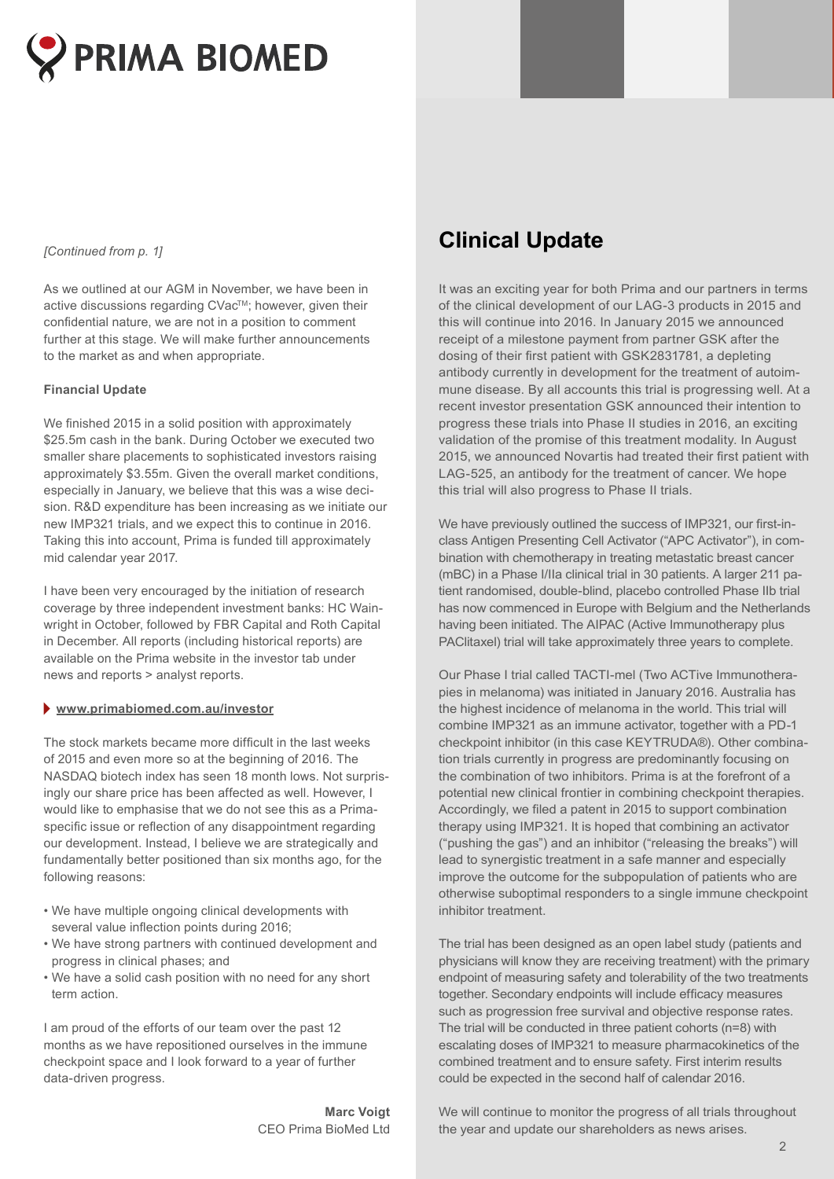

As we outlined at our AGM in November, we have been in active discussions regarding CVac™; however, given their confidential nature, we are not in a position to comment further at this stage. We will make further announcements to the market as and when appropriate.

#### **Financial Update**

We finished 2015 in a solid position with approximately \$25.5m cash in the bank. During October we executed two smaller share placements to sophisticated investors raising approximately \$3.55m. Given the overall market conditions, especially in January, we believe that this was a wise decision. R&D expenditure has been increasing as we initiate our new IMP321 trials, and we expect this to continue in 2016. Taking this into account, Prima is funded till approximately mid calendar year 2017.

I have been very encouraged by the initiation of research coverage by three independent investment banks: HC Wainwright in October, followed by FBR Capital and Roth Capital in December. All reports (including historical reports) are available on the Prima website in the investor tab under news and reports > analyst reports.

#### **www.primabiomed.com.au/investor**

The stock markets became more difficult in the last weeks of 2015 and even more so at the beginning of 2016. The NASDAQ biotech index has seen 18 month lows. Not surprisingly our share price has been affected as well. However, I would like to emphasise that we do not see this as a Primaspecific issue or reflection of any disappointment regarding our development. Instead, I believe we are strategically and fundamentally better positioned than six months ago, for the following reasons:

- We have multiple ongoing clinical developments with several value inflection points during 2016;
- We have strong partners with continued development and progress in clinical phases; and
- We have a solid cash position with no need for any short term action.

I am proud of the efforts of our team over the past 12 months as we have repositioned ourselves in the immune checkpoint space and I look forward to a year of further data-driven progress.

> **Marc Voigt** CEO Prima BioMed Ltd

# *Continued from p. 1] Clinical Update <i>Clinical*

It was an exciting year for both Prima and our partners in terms of the clinical development of our LAG-3 products in 2015 and this will continue into 2016. In January 2015 we announced receipt of a milestone payment from partner GSK after the dosing of their first patient with GSK2831781, a depleting antibody currently in development for the treatment of autoimmune disease. By all accounts this trial is progressing well. At a recent investor presentation GSK announced their intention to progress these trials into Phase II studies in 2016, an exciting validation of the promise of this treatment modality. In August 2015, we announced Novartis had treated their first patient with LAG-525, an antibody for the treatment of cancer. We hope this trial will also progress to Phase II trials.

We have previously outlined the success of IMP321, our first-inclass Antigen Presenting Cell Activator ("APC Activator"), in combination with chemotherapy in treating metastatic breast cancer (mBC) in a Phase I/IIa clinical trial in 30 patients. A larger 211 patient randomised, double-blind, placebo controlled Phase IIb trial has now commenced in Europe with Belgium and the Netherlands having been initiated. The AIPAC (Active Immunotherapy plus PAClitaxel) trial will take approximately three years to complete.

Our Phase I trial called TACTI-mel (Two ACTive Immunotherapies in melanoma) was initiated in January 2016. Australia has the highest incidence of melanoma in the world. This trial will combine IMP321 as an immune activator, together with a PD-1 checkpoint inhibitor (in this case KEYTRUDA®). Other combination trials currently in progress are predominantly focusing on the combination of two inhibitors. Prima is at the forefront of a potential new clinical frontier in combining checkpoint therapies. Accordingly, we filed a patent in 2015 to support combination therapy using IMP321. It is hoped that combining an activator ("pushing the gas") and an inhibitor ("releasing the breaks") will lead to synergistic treatment in a safe manner and especially improve the outcome for the subpopulation of patients who are otherwise suboptimal responders to a single immune checkpoint inhibitor treatment.

The trial has been designed as an open label study (patients and physicians will know they are receiving treatment) with the primary endpoint of measuring safety and tolerability of the two treatments together. Secondary endpoints will include efficacy measures such as progression free survival and objective response rates. The trial will be conducted in three patient cohorts (n=8) with escalating doses of IMP321 to measure pharmacokinetics of the combined treatment and to ensure safety. First interim results could be expected in the second half of calendar 2016.

We will continue to monitor the progress of all trials throughout the year and update our shareholders as news arises.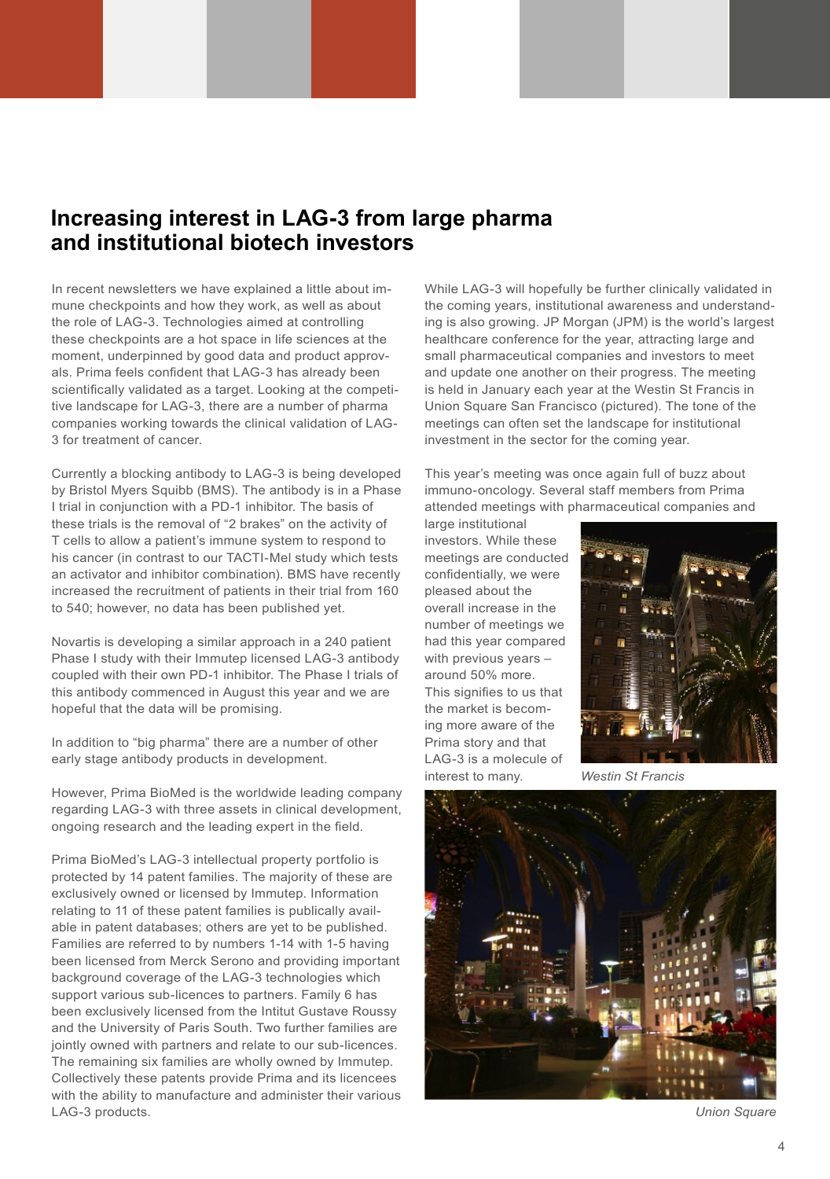# **Increasing interest in LAG-3 from large pharma and institutional biotech investors**

In recent newsletters we have explained a little about immune checkpoints and how they work, as well as about the role of LAG-3. Technologies aimed at controlling these checkpoints are a hot space in life sciences at the moment, underpinned by good data and product approvals. Prima feels confident that LAG-3 has already been scientifically validated as a target. Looking at the competitive landscape for LAG-3, there are a number of pharma companies working towards the clinical validation of LAG-3 for treatment of cancer.

Currently a blocking antibody to LAG-3 is being developed by Bristol Myers Squibb (BMS). The antibody is in a Phase I trial in conjunction with a PD-1 inhibitor. The basis of these trials is the removal of "2 brakes" on the activity of T cells to allow a patient's immune system to respond to his cancer (in contrast to our TACTI-Mel study which tests an activator and inhibitor combination). BMS have recently increased the recruitment of patients in their trial from 160 to 540; however, no data has been published yet.

Novartis is developing a similar approach in a 240 patient Phase I study with their Immutep licensed LAG-3 antibody coupled with their own PD-1 inhibitor. The Phase I trials of this antibody commenced in August this year and we are hopeful that the data will be promising.

In addition to "big pharma" there are a number of other early stage antibody products in development.

However, Prima BioMed is the worldwide leading company regarding LAG-3 with three assets in clinical development, ongoing research and the leading expert in the field.

Prima BioMed's LAG-3 intellectual property portfolio is protected by 14 patent families. The majority of these are exclusively owned or licensed by Immutep. Information relating to 11 of these patent families is publically available in patent databases; others are yet to be published. Families are referred to by numbers 1-14 with 1-5 having been licensed from Merck Serono and providing important background coverage of the LAG-3 technologies which support various sub-licences to partners. Family 6 has been exclusively licensed from the Intitut Gustave Roussy and the University of Paris South. Two further families are jointly owned with partners and relate to our sub-licences. The remaining six families are wholly owned by Immutep. Collectively these patents provide Prima and its licencees with the ability to manufacture and administer their various LAG-3 products.

While LAG-3 will hopefully be further clinically validated in the coming years, institutional awareness and understanding is also growing. JP Morgan (JPM) is the world's largest healthcare conference for the year, attracting large and small pharmaceutical companies and investors to meet and update one another on their progress. The meeting is held in January each year at the Westin St Francis in Union Square San Francisco (pictured). The tone of the meetings can often set the landscape for institutional investment in the sector for the coming year.

This year's meeting was once again full of buzz about immuno-oncology. Several staff members from Prima attended meetings with pharmaceutical companies and

large institutional investors. While these meetings are conducted confidentially, we were pleased about the overall increase in the number of meetings we had this year compared with previous years – around 50% more. This signifies to us that the market is becoming more aware of the Prima story and that LAG-3 is a molecule of interest to many.



*Westin St Francis*



*Union Square*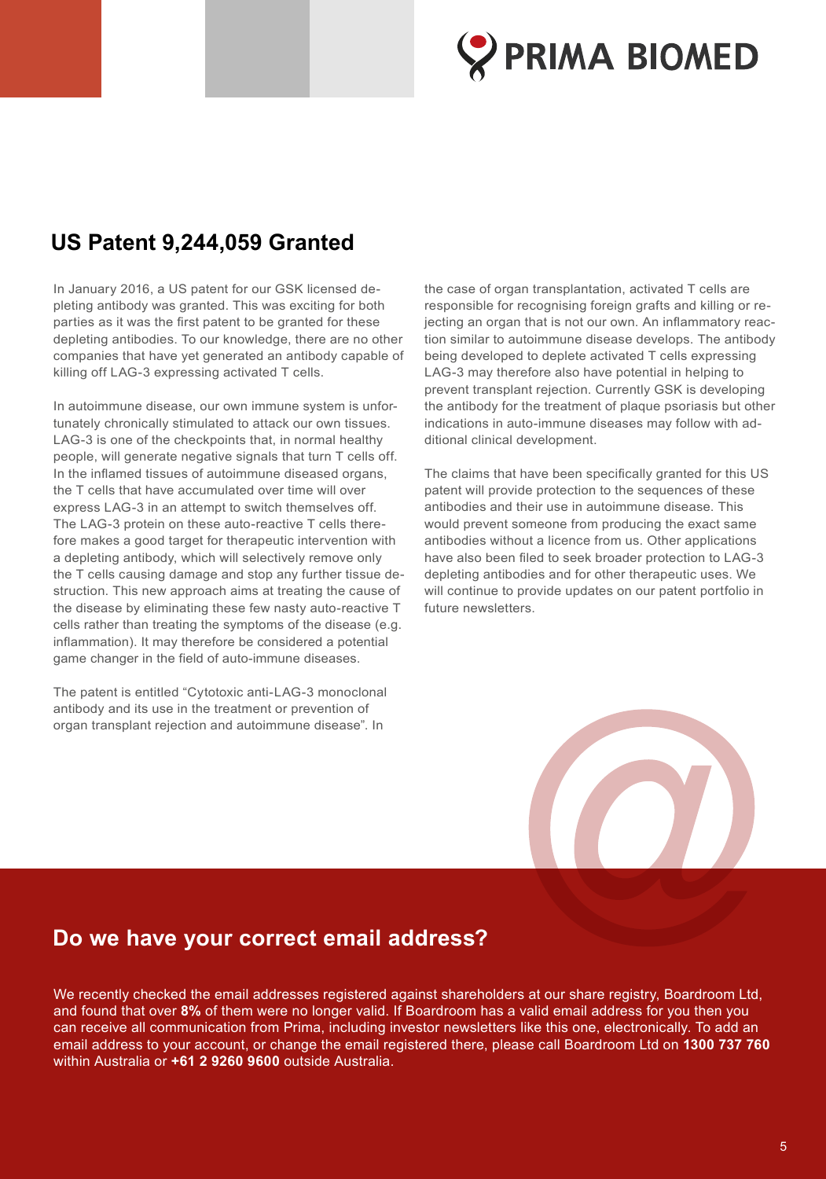

# **US Patent 9,244,059 Granted**

In January 2016, a US patent for our GSK licensed depleting antibody was granted. This was exciting for both parties as it was the first patent to be granted for these depleting antibodies. To our knowledge, there are no other companies that have yet generated an antibody capable of killing off LAG-3 expressing activated T cells.

In autoimmune disease, our own immune system is unfortunately chronically stimulated to attack our own tissues. LAG-3 is one of the checkpoints that, in normal healthy people, will generate negative signals that turn T cells off. In the inflamed tissues of autoimmune diseased organs, the T cells that have accumulated over time will over express LAG-3 in an attempt to switch themselves off. The LAG-3 protein on these auto-reactive T cells therefore makes a good target for therapeutic intervention with a depleting antibody, which will selectively remove only the T cells causing damage and stop any further tissue destruction. This new approach aims at treating the cause of the disease by eliminating these few nasty auto-reactive T cells rather than treating the symptoms of the disease (e.g. inflammation). It may therefore be considered a potential game changer in the field of auto-immune diseases.

The patent is entitled "Cytotoxic anti-LAG-3 monoclonal antibody and its use in the treatment or prevention of organ transplant rejection and autoimmune disease". In

the case of organ transplantation, activated T cells are responsible for recognising foreign grafts and killing or rejecting an organ that is not our own. An inflammatory reaction similar to autoimmune disease develops. The antibody being developed to deplete activated T cells expressing LAG-3 may therefore also have potential in helping to prevent transplant rejection. Currently GSK is developing the antibody for the treatment of plaque psoriasis but other indications in auto-immune diseases may follow with additional clinical development.

The claims that have been specifically granted for this US patent will provide protection to the sequences of these antibodies and their use in autoimmune disease. This would prevent someone from producing the exact same antibodies without a licence from us. Other applications have also been filed to seek broader protection to LAG-3 depleting antibodies and for other therapeutic uses. We will continue to provide updates on our patent portfolio in future newsletters.



# **Do we have your correct email address?**

We recently checked the email addresses registered against shareholders at our share registry, Boardroom Ltd, and found that over **8%** of them were no longer valid. If Boardroom has a valid email address for you then you can receive all communication from Prima, including investor newsletters like this one, electronically. To add an email address to your account, or change the email registered there, please call Boardroom Ltd on **1300 737 760** within Australia or **+61 2 9260 9600** outside Australia.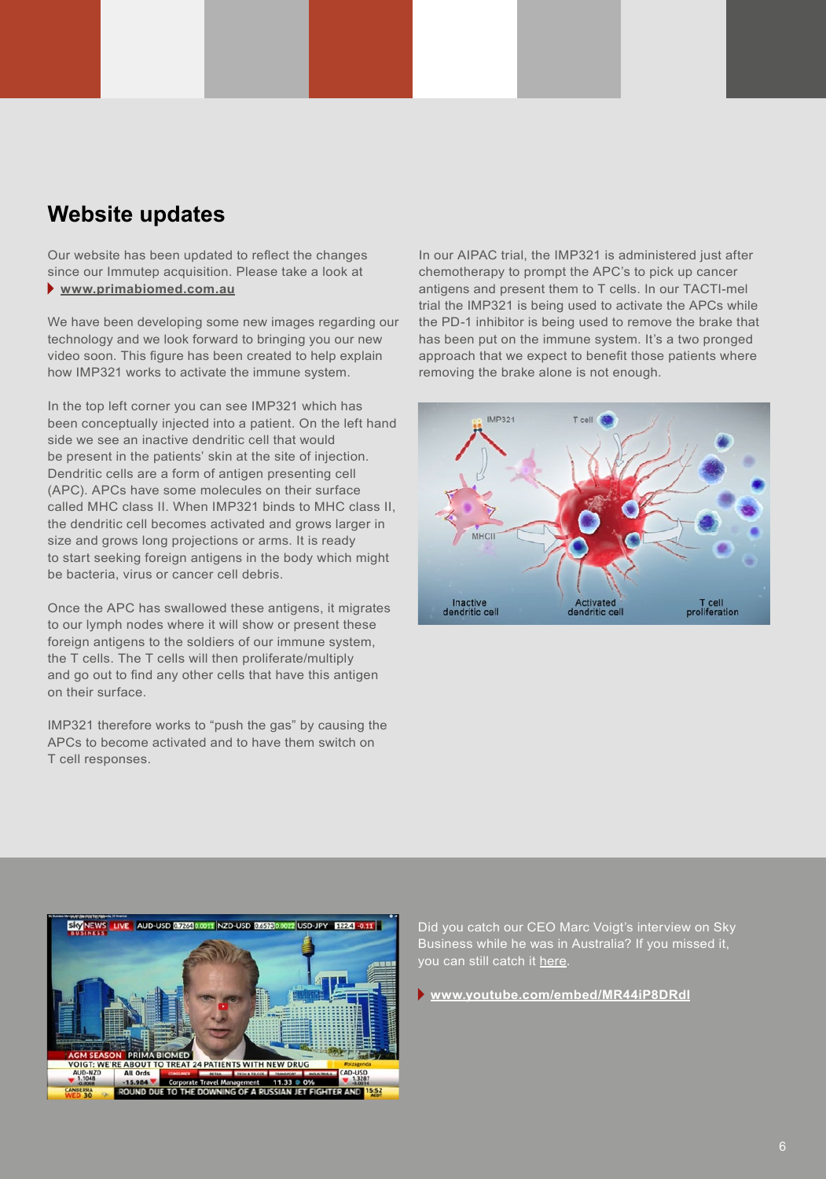# **Website updates**

Our website has been updated to reflect the changes since our Immutep acquisition. Please take a look at  **www.primabiomed.com.au**

We have been developing some new images regarding our technology and we look forward to bringing you our new video soon. This figure has been created to help explain how IMP321 works to activate the immune system.

In the top left corner you can see IMP321 which has been conceptually injected into a patient. On the left hand side we see an inactive dendritic cell that would be present in the patients' skin at the site of injection. Dendritic cells are a form of antigen presenting cell (APC). APCs have some molecules on their surface called MHC class II. When IMP321 binds to MHC class II, the dendritic cell becomes activated and grows larger in size and grows long projections or arms. It is ready to start seeking foreign antigens in the body which might be bacteria, virus or cancer cell debris.

Once the APC has swallowed these antigens, it migrates to our lymph nodes where it will show or present these foreign antigens to the soldiers of our immune system, the T cells. The T cells will then proliferate/multiply and go out to find any other cells that have this antigen on their surface.

IMP321 therefore works to "push the gas" by causing the APCs to become activated and to have them switch on T cell responses.

In our AIPAC trial, the IMP321 is administered just after chemotherapy to prompt the APC's to pick up cancer antigens and present them to T cells. In our TACTI-mel trial the IMP321 is being used to activate the APCs while the PD-1 inhibitor is being used to remove the brake that has been put on the immune system. It's a two pronged approach that we expect to benefit those patients where removing the brake alone is not enough.





Did you catch our CEO Marc Voigt's interview on Sky Business while he was in Australia? If you missed it, you can still catch it [here](http://www.youtube.com/embed/MR44iP8DRdI).

 **www.youtube.com/embed/MR44iP8DRdI**